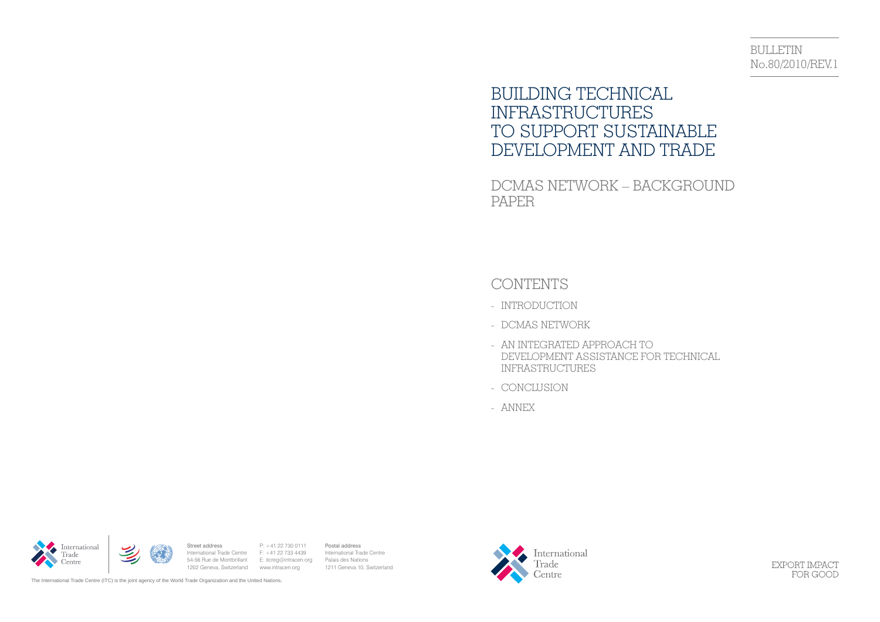# BULLETIN No.80/2010/REV.1

# BUILDING TECHNICAL INFRASTRUCTURES TO SUPPORT SUSTAINABLE DEVELOPMENT AND TRADE

DCMAS NETWORK – BACKGROUND PAPER

# CONTENTS

- INTRODUCTION
- DCMAS NETWORK
- AN INTEGRATED APPROACH TO DEVELOPMENT ASSISTANCE FOR TECHNICAL INFRASTRUCTURES
- CONCLUSION
- ANNEX

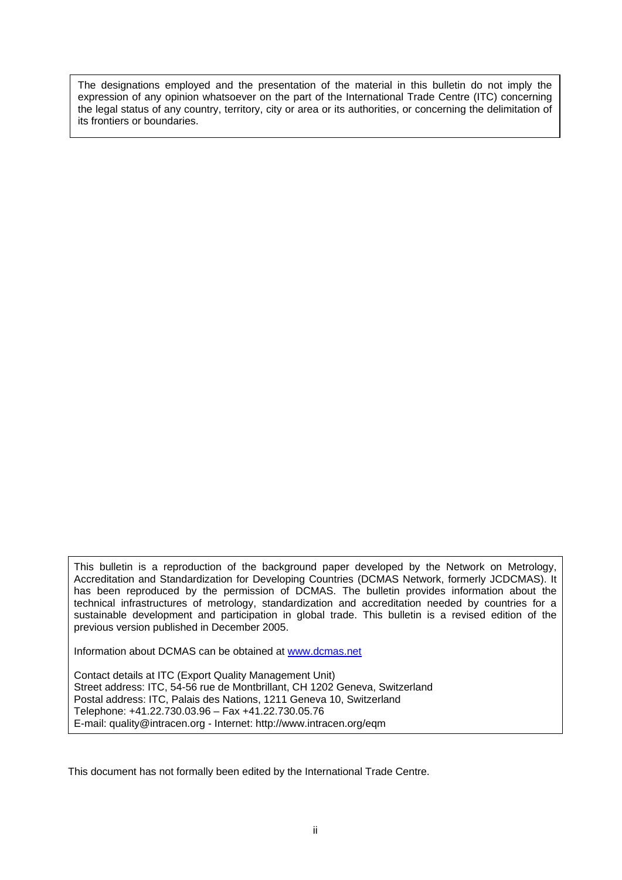The designations employed and the presentation of the material in this bulletin do not imply the expression of any opinion whatsoever on the part of the International Trade Centre (ITC) concerning the legal status of any country, territory, city or area or its authorities, or concerning the delimitation of its frontiers or boundaries.

This bulletin is a reproduction of the background paper developed by the Network on Metrology, Accreditation and Standardization for Developing Countries (DCMAS Network, formerly JCDCMAS). It has been reproduced by the permission of DCMAS. The bulletin provides information about the technical infrastructures of metrology, standardization and accreditation needed by countries for a sustainable development and participation in global trade. This bulletin is a revised edition of the previous version published in December 2005.

Information about DCMAS can be obtained at www.dcmas.net

Contact details at ITC (Export Quality Management Unit) Street address: ITC, 54-56 rue de Montbrillant, CH 1202 Geneva, Switzerland Postal address: ITC, Palais des Nations, 1211 Geneva 10, Switzerland Telephone: +41.22.730.03.96 – Fax +41.22.730.05.76 E-mail: quality@intracen.org - Internet: http://www.intracen.org/eqm

This document has not formally been edited by the International Trade Centre.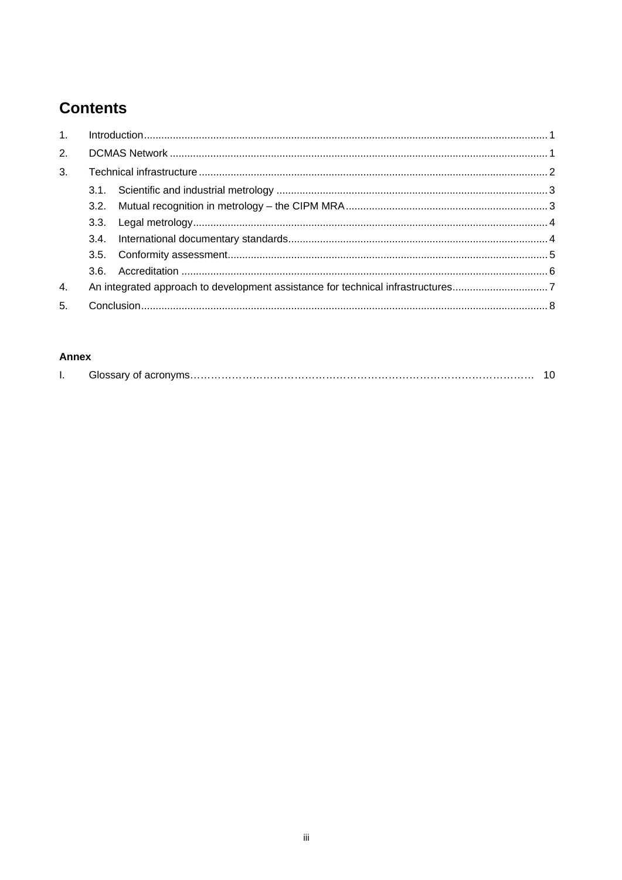# **Contents**

| $\mathbf{1}$ . |      |                                                                                 |  |
|----------------|------|---------------------------------------------------------------------------------|--|
| 2.             |      |                                                                                 |  |
| 3.             |      |                                                                                 |  |
|                |      |                                                                                 |  |
|                |      |                                                                                 |  |
|                | 3.3. |                                                                                 |  |
|                | 3.4. |                                                                                 |  |
|                |      |                                                                                 |  |
|                |      |                                                                                 |  |
| 4.             |      | An integrated approach to development assistance for technical infrastructures7 |  |
| 5.             |      |                                                                                 |  |

#### **Annex**

| . . |  |
|-----|--|
|     |  |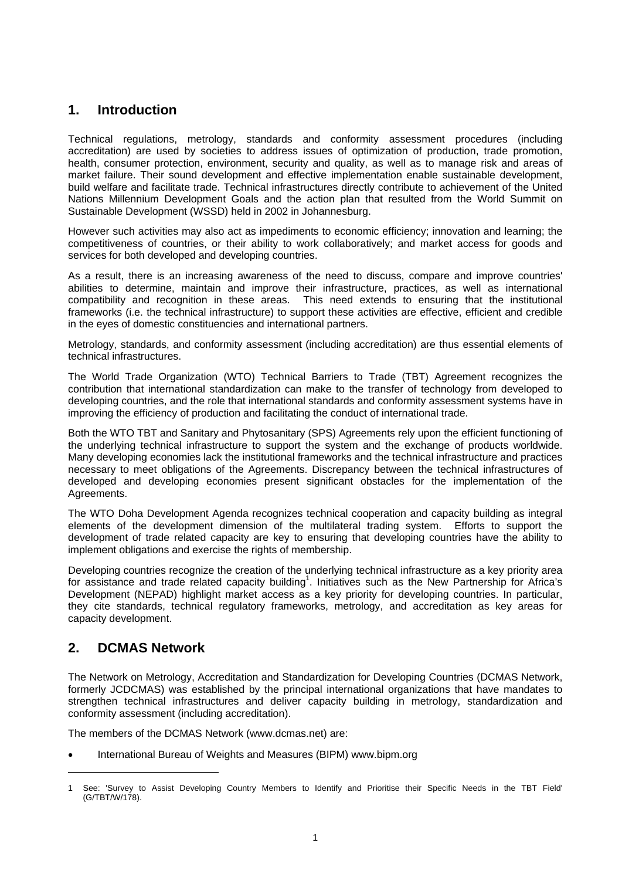## **1. Introduction**

Technical regulations, metrology, standards and conformity assessment procedures (including accreditation) are used by societies to address issues of optimization of production, trade promotion, health, consumer protection, environment, security and quality, as well as to manage risk and areas of market failure. Their sound development and effective implementation enable sustainable development, build welfare and facilitate trade. Technical infrastructures directly contribute to achievement of the United Nations Millennium Development Goals and the action plan that resulted from the World Summit on Sustainable Development (WSSD) held in 2002 in Johannesburg.

However such activities may also act as impediments to economic efficiency; innovation and learning; the competitiveness of countries, or their ability to work collaboratively; and market access for goods and services for both developed and developing countries.

As a result, there is an increasing awareness of the need to discuss, compare and improve countries' abilities to determine, maintain and improve their infrastructure, practices, as well as international compatibility and recognition in these areas. This need extends to ensuring that the institutional frameworks (i.e. the technical infrastructure) to support these activities are effective, efficient and credible in the eyes of domestic constituencies and international partners.

Metrology, standards, and conformity assessment (including accreditation) are thus essential elements of technical infrastructures.

The World Trade Organization (WTO) Technical Barriers to Trade (TBT) Agreement recognizes the contribution that international standardization can make to the transfer of technology from developed to developing countries, and the role that international standards and conformity assessment systems have in improving the efficiency of production and facilitating the conduct of international trade.

Both the WTO TBT and Sanitary and Phytosanitary (SPS) Agreements rely upon the efficient functioning of the underlying technical infrastructure to support the system and the exchange of products worldwide. Many developing economies lack the institutional frameworks and the technical infrastructure and practices necessary to meet obligations of the Agreements. Discrepancy between the technical infrastructures of developed and developing economies present significant obstacles for the implementation of the Agreements.

The WTO Doha Development Agenda recognizes technical cooperation and capacity building as integral elements of the development dimension of the multilateral trading system. Efforts to support the development of trade related capacity are key to ensuring that developing countries have the ability to implement obligations and exercise the rights of membership.

Developing countries recognize the creation of the underlying technical infrastructure as a key priority area for assistance and trade related capacity building<sup>1</sup>. Initiatives such as the New Partnership for Africa's Development (NEPAD) highlight market access as a key priority for developing countries. In particular, they cite standards, technical regulatory frameworks, metrology, and accreditation as key areas for capacity development.

### **2. DCMAS Network**

1

The Network on Metrology, Accreditation and Standardization for Developing Countries (DCMAS Network, formerly JCDCMAS) was established by the principal international organizations that have mandates to strengthen technical infrastructures and deliver capacity building in metrology, standardization and conformity assessment (including accreditation).

The members of the DCMAS Network (www.dcmas.net) are:

• International Bureau of Weights and Measures (BIPM) www.bipm.org

<sup>1</sup> See: 'Survey to Assist Developing Country Members to Identify and Prioritise their Specific Needs in the TBT Field' (G/TBT/W/178).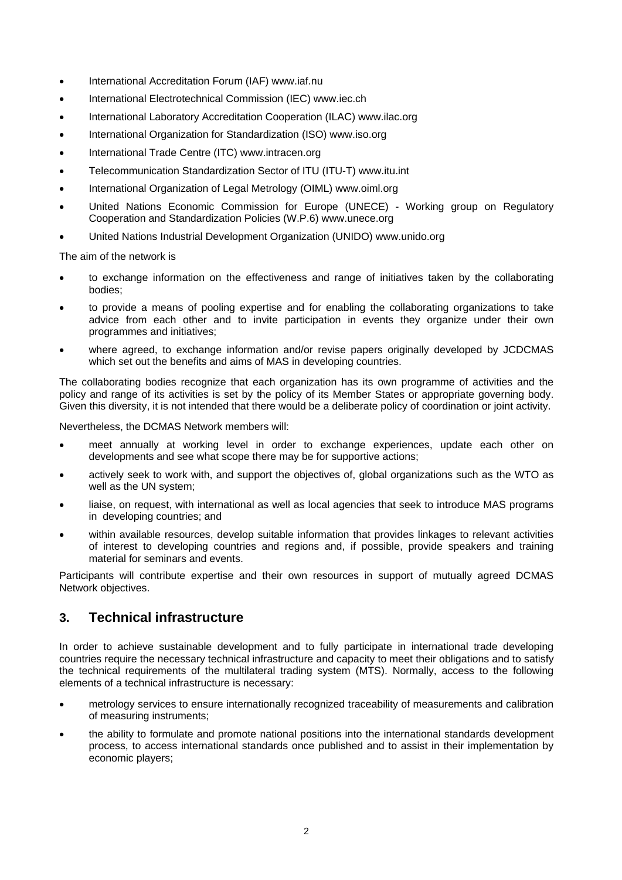- International Accreditation Forum (IAF) www.iaf.nu
- International Electrotechnical Commission (IEC) www.iec.ch
- International Laboratory Accreditation Cooperation (ILAC) www.ilac.org
- International Organization for Standardization (ISO) www.iso.org
- International Trade Centre (ITC) www.intracen.org
- Telecommunication Standardization Sector of ITU (ITU-T) www.itu.int
- International Organization of Legal Metrology (OIML) www.oiml.org
- United Nations Economic Commission for Europe (UNECE) Working group on Regulatory Cooperation and Standardization Policies (W.P.6) www.unece.org
- United Nations Industrial Development Organization (UNIDO) www.unido.org

The aim of the network is

- to exchange information on the effectiveness and range of initiatives taken by the collaborating bodies;
- to provide a means of pooling expertise and for enabling the collaborating organizations to take advice from each other and to invite participation in events they organize under their own programmes and initiatives;
- where agreed, to exchange information and/or revise papers originally developed by JCDCMAS which set out the benefits and aims of MAS in developing countries.

The collaborating bodies recognize that each organization has its own programme of activities and the policy and range of its activities is set by the policy of its Member States or appropriate governing body. Given this diversity, it is not intended that there would be a deliberate policy of coordination or joint activity.

Nevertheless, the DCMAS Network members will:

- meet annually at working level in order to exchange experiences, update each other on developments and see what scope there may be for supportive actions;
- actively seek to work with, and support the objectives of, global organizations such as the WTO as well as the UN system;
- liaise, on request, with international as well as local agencies that seek to introduce MAS programs in developing countries; and
- within available resources, develop suitable information that provides linkages to relevant activities of interest to developing countries and regions and, if possible, provide speakers and training material for seminars and events.

Participants will contribute expertise and their own resources in support of mutually agreed DCMAS Network objectives.

### **3. Technical infrastructure**

In order to achieve sustainable development and to fully participate in international trade developing countries require the necessary technical infrastructure and capacity to meet their obligations and to satisfy the technical requirements of the multilateral trading system (MTS). Normally, access to the following elements of a technical infrastructure is necessary:

- metrology services to ensure internationally recognized traceability of measurements and calibration of measuring instruments;
- the ability to formulate and promote national positions into the international standards development process, to access international standards once published and to assist in their implementation by economic players;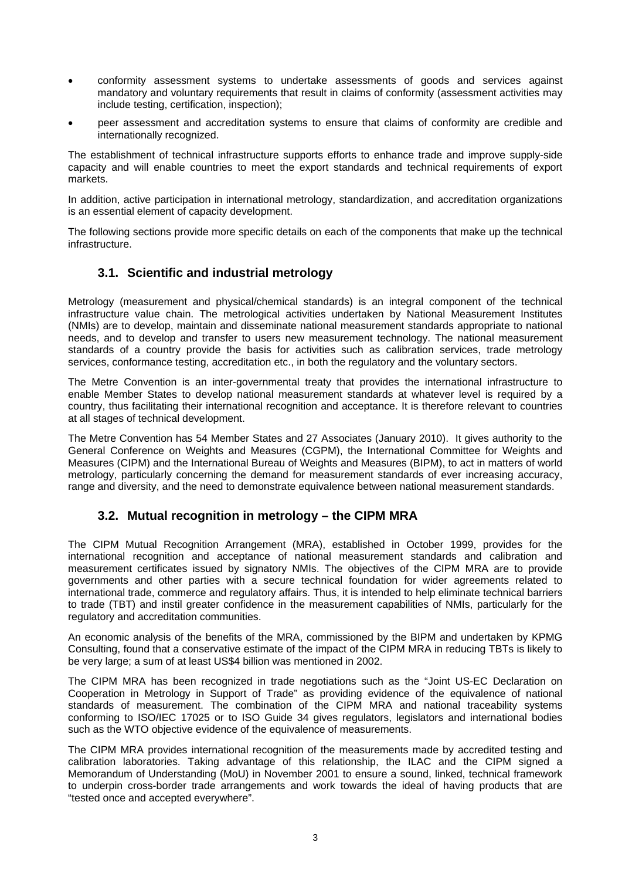- conformity assessment systems to undertake assessments of goods and services against mandatory and voluntary requirements that result in claims of conformity (assessment activities may include testing, certification, inspection);
- peer assessment and accreditation systems to ensure that claims of conformity are credible and internationally recognized.

The establishment of technical infrastructure supports efforts to enhance trade and improve supply-side capacity and will enable countries to meet the export standards and technical requirements of export markets.

In addition, active participation in international metrology, standardization, and accreditation organizations is an essential element of capacity development.

The following sections provide more specific details on each of the components that make up the technical infrastructure.

#### **3.1. Scientific and industrial metrology**

Metrology (measurement and physical/chemical standards) is an integral component of the technical infrastructure value chain. The metrological activities undertaken by National Measurement Institutes (NMIs) are to develop, maintain and disseminate national measurement standards appropriate to national needs, and to develop and transfer to users new measurement technology. The national measurement standards of a country provide the basis for activities such as calibration services, trade metrology services, conformance testing, accreditation etc., in both the regulatory and the voluntary sectors.

The Metre Convention is an inter-governmental treaty that provides the international infrastructure to enable Member States to develop national measurement standards at whatever level is required by a country, thus facilitating their international recognition and acceptance. It is therefore relevant to countries at all stages of technical development.

The Metre Convention has 54 Member States and 27 Associates (January 2010). It gives authority to the General Conference on Weights and Measures (CGPM), the International Committee for Weights and Measures (CIPM) and the International Bureau of Weights and Measures (BIPM), to act in matters of world metrology, particularly concerning the demand for measurement standards of ever increasing accuracy, range and diversity, and the need to demonstrate equivalence between national measurement standards.

#### **3.2. Mutual recognition in metrology – the CIPM MRA**

The CIPM Mutual Recognition Arrangement (MRA), established in October 1999, provides for the international recognition and acceptance of national measurement standards and calibration and measurement certificates issued by signatory NMIs. The objectives of the CIPM MRA are to provide governments and other parties with a secure technical foundation for wider agreements related to international trade, commerce and regulatory affairs. Thus, it is intended to help eliminate technical barriers to trade (TBT) and instil greater confidence in the measurement capabilities of NMIs, particularly for the regulatory and accreditation communities.

An economic analysis of the benefits of the MRA, commissioned by the BIPM and undertaken by KPMG Consulting, found that a conservative estimate of the impact of the CIPM MRA in reducing TBTs is likely to be very large; a sum of at least US\$4 billion was mentioned in 2002.

The CIPM MRA has been recognized in trade negotiations such as the "Joint US-EC Declaration on Cooperation in Metrology in Support of Trade" as providing evidence of the equivalence of national standards of measurement. The combination of the CIPM MRA and national traceability systems conforming to ISO/IEC 17025 or to ISO Guide 34 gives regulators, legislators and international bodies such as the WTO objective evidence of the equivalence of measurements.

The CIPM MRA provides international recognition of the measurements made by accredited testing and calibration laboratories. Taking advantage of this relationship, the ILAC and the CIPM signed a Memorandum of Understanding (MoU) in November 2001 to ensure a sound, linked, technical framework to underpin cross-border trade arrangements and work towards the ideal of having products that are "tested once and accepted everywhere".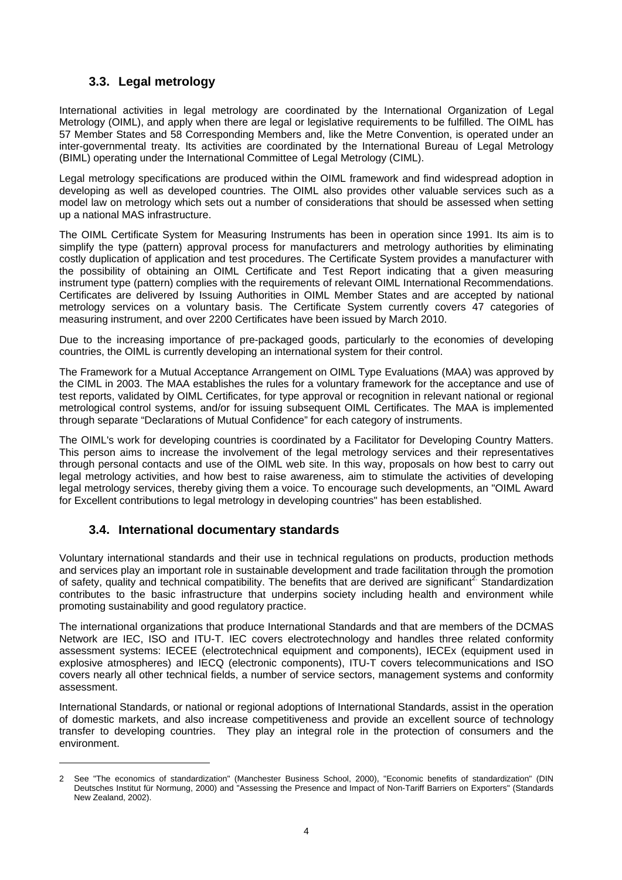#### **3.3. Legal metrology**

International activities in legal metrology are coordinated by the International Organization of Legal Metrology (OIML), and apply when there are legal or legislative requirements to be fulfilled. The OIML has 57 Member States and 58 Corresponding Members and, like the Metre Convention, is operated under an inter-governmental treaty. Its activities are coordinated by the International Bureau of Legal Metrology (BIML) operating under the International Committee of Legal Metrology (CIML).

Legal metrology specifications are produced within the OIML framework and find widespread adoption in developing as well as developed countries. The OIML also provides other valuable services such as a model law on metrology which sets out a number of considerations that should be assessed when setting up a national MAS infrastructure.

The OIML Certificate System for Measuring Instruments has been in operation since 1991. Its aim is to simplify the type (pattern) approval process for manufacturers and metrology authorities by eliminating costly duplication of application and test procedures. The Certificate System provides a manufacturer with the possibility of obtaining an OIML Certificate and Test Report indicating that a given measuring instrument type (pattern) complies with the requirements of relevant OIML International Recommendations. Certificates are delivered by Issuing Authorities in OIML Member States and are accepted by national metrology services on a voluntary basis. The Certificate System currently covers 47 categories of measuring instrument, and over 2200 Certificates have been issued by March 2010.

Due to the increasing importance of pre-packaged goods, particularly to the economies of developing countries, the OIML is currently developing an international system for their control.

The Framework for a Mutual Acceptance Arrangement on OIML Type Evaluations (MAA) was approved by the CIML in 2003. The MAA establishes the rules for a voluntary framework for the acceptance and use of test reports, validated by OIML Certificates, for type approval or recognition in relevant national or regional metrological control systems, and/or for issuing subsequent OIML Certificates. The MAA is implemented through separate "Declarations of Mutual Confidence" for each category of instruments.

The OIML's work for developing countries is coordinated by a Facilitator for Developing Country Matters. This person aims to increase the involvement of the legal metrology services and their representatives through personal contacts and use of the OIML web site. In this way, proposals on how best to carry out legal metrology activities, and how best to raise awareness, aim to stimulate the activities of developing legal metrology services, thereby giving them a voice. To encourage such developments, an "OIML Award for Excellent contributions to legal metrology in developing countries" has been established.

#### **3.4. International documentary standards**

l

Voluntary international standards and their use in technical regulations on products, production methods and services play an important role in sustainable development and trade facilitation through the promotion of safety, quality and technical compatibility. The benefits that are derived are significant<sup>2</sup> Standardization contributes to the basic infrastructure that underpins society including health and environment while promoting sustainability and good regulatory practice.

The international organizations that produce International Standards and that are members of the DCMAS Network are IEC, ISO and ITU-T. IEC covers electrotechnology and handles three related conformity assessment systems: IECEE (electrotechnical equipment and components), IECEx (equipment used in explosive atmospheres) and IECQ (electronic components), ITU-T covers telecommunications and ISO covers nearly all other technical fields, a number of service sectors, management systems and conformity assessment.

International Standards, or national or regional adoptions of International Standards, assist in the operation of domestic markets, and also increase competitiveness and provide an excellent source of technology transfer to developing countries. They play an integral role in the protection of consumers and the environment.

<sup>2</sup> See "The economics of standardization" (Manchester Business School, 2000), "Economic benefits of standardization" (DIN Deutsches Institut für Normung, 2000) and "Assessing the Presence and Impact of Non-Tariff Barriers on Exporters" (Standards New Zealand, 2002).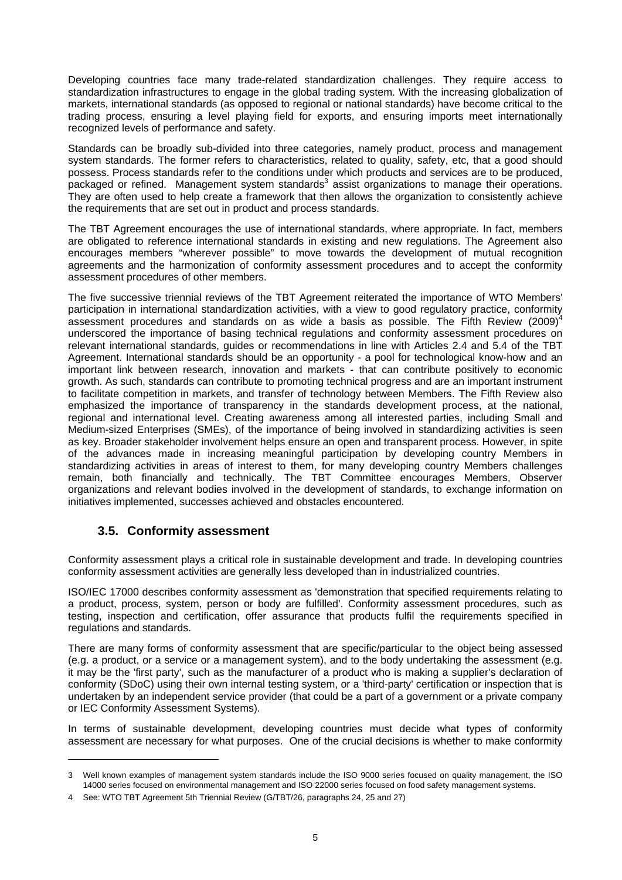Developing countries face many trade-related standardization challenges. They require access to standardization infrastructures to engage in the global trading system. With the increasing globalization of markets, international standards (as opposed to regional or national standards) have become critical to the trading process, ensuring a level playing field for exports, and ensuring imports meet internationally recognized levels of performance and safety.

Standards can be broadly sub-divided into three categories, namely product, process and management system standards. The former refers to characteristics, related to quality, safety, etc, that a good should possess. Process standards refer to the conditions under which products and services are to be produced, packaged or refined. Management system standards<sup>3</sup> assist organizations to manage their operations. They are often used to help create a framework that then allows the organization to consistently achieve the requirements that are set out in product and process standards.

The TBT Agreement encourages the use of international standards, where appropriate. In fact, members are obligated to reference international standards in existing and new regulations. The Agreement also encourages members "wherever possible" to move towards the development of mutual recognition agreements and the harmonization of conformity assessment procedures and to accept the conformity assessment procedures of other members.

The five successive triennial reviews of the TBT Agreement reiterated the importance of WTO Members' participation in international standardization activities, with a view to good regulatory practice, conformity assessment procedures and standards on as wide a basis as possible. The Fifth Review  $(2009)^4$ underscored the importance of basing technical regulations and conformity assessment procedures on relevant international standards, guides or recommendations in line with Articles 2.4 and 5.4 of the TBT Agreement. International standards should be an opportunity - a pool for technological know-how and an important link between research, innovation and markets - that can contribute positively to economic growth. As such, standards can contribute to promoting technical progress and are an important instrument to facilitate competition in markets, and transfer of technology between Members. The Fifth Review also emphasized the importance of transparency in the standards development process, at the national, regional and international level. Creating awareness among all interested parties, including Small and Medium-sized Enterprises (SMEs), of the importance of being involved in standardizing activities is seen as key. Broader stakeholder involvement helps ensure an open and transparent process. However, in spite of the advances made in increasing meaningful participation by developing country Members in standardizing activities in areas of interest to them, for many developing country Members challenges remain, both financially and technically. The TBT Committee encourages Members, Observer organizations and relevant bodies involved in the development of standards, to exchange information on initiatives implemented, successes achieved and obstacles encountered.

#### **3.5. Conformity assessment**

-

Conformity assessment plays a critical role in sustainable development and trade. In developing countries conformity assessment activities are generally less developed than in industrialized countries.

ISO/IEC 17000 describes conformity assessment as 'demonstration that specified requirements relating to a product, process, system, person or body are fulfilled'. Conformity assessment procedures, such as testing, inspection and certification, offer assurance that products fulfil the requirements specified in regulations and standards.

There are many forms of conformity assessment that are specific/particular to the object being assessed (e.g. a product, or a service or a management system), and to the body undertaking the assessment (e.g. it may be the 'first party', such as the manufacturer of a product who is making a supplier's declaration of conformity (SDoC) using their own internal testing system, or a 'third-party' certification or inspection that is undertaken by an independent service provider (that could be a part of a government or a private company or IEC Conformity Assessment Systems).

In terms of sustainable development, developing countries must decide what types of conformity assessment are necessary for what purposes. One of the crucial decisions is whether to make conformity

<sup>3</sup> Well known examples of management system standards include the ISO 9000 series focused on quality management, the ISO 14000 series focused on environmental management and ISO 22000 series focused on food safety management systems.

<sup>4</sup> See: WTO TBT Agreement 5th Triennial Review (G/TBT/26, paragraphs 24, 25 and 27)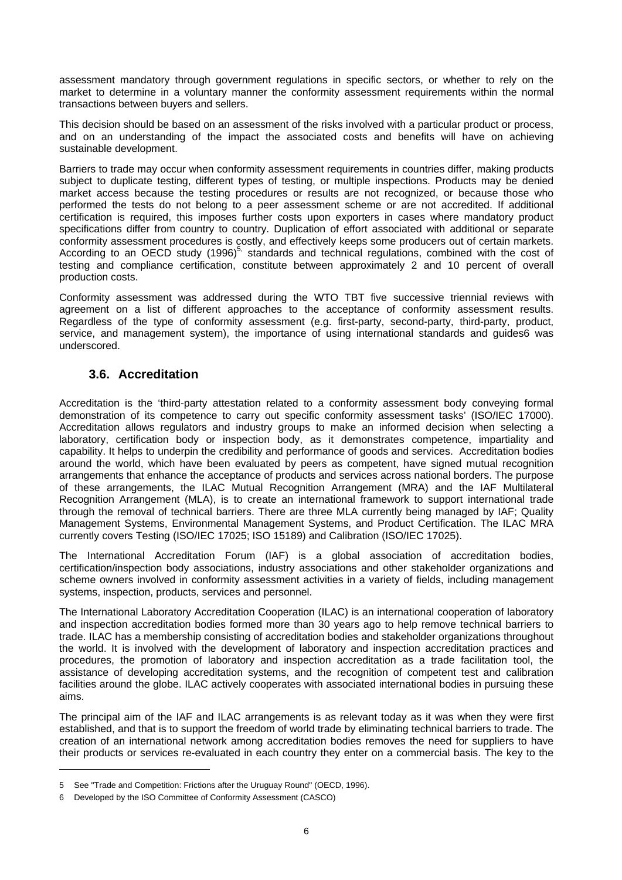assessment mandatory through government regulations in specific sectors, or whether to rely on the market to determine in a voluntary manner the conformity assessment requirements within the normal transactions between buyers and sellers.

This decision should be based on an assessment of the risks involved with a particular product or process, and on an understanding of the impact the associated costs and benefits will have on achieving sustainable development.

Barriers to trade may occur when conformity assessment requirements in countries differ, making products subject to duplicate testing, different types of testing, or multiple inspections. Products may be denied market access because the testing procedures or results are not recognized, or because those who performed the tests do not belong to a peer assessment scheme or are not accredited. If additional certification is required, this imposes further costs upon exporters in cases where mandatory product specifications differ from country to country. Duplication of effort associated with additional or separate conformity assessment procedures is costly, and effectively keeps some producers out of certain markets. According to an OECD study  $(1996)^{5}$ , standards and technical regulations, combined with the cost of testing and compliance certification, constitute between approximately 2 and 10 percent of overall production costs.

Conformity assessment was addressed during the WTO TBT five successive triennial reviews with agreement on a list of different approaches to the acceptance of conformity assessment results. Regardless of the type of conformity assessment (e.g. first-party, second-party, third-party, product, service, and management system), the importance of using international standards and guides6 was underscored.

#### **3.6. Accreditation**

Accreditation is the 'third-party attestation related to a conformity assessment body conveying formal demonstration of its competence to carry out specific conformity assessment tasks' (ISO/IEC 17000). Accreditation allows regulators and industry groups to make an informed decision when selecting a laboratory, certification body or inspection body, as it demonstrates competence, impartiality and capability. It helps to underpin the credibility and performance of goods and services. Accreditation bodies around the world, which have been evaluated by peers as competent, have signed mutual recognition arrangements that enhance the acceptance of products and services across national borders. The purpose of these arrangements, the ILAC Mutual Recognition Arrangement (MRA) and the IAF Multilateral Recognition Arrangement (MLA), is to create an international framework to support international trade through the removal of technical barriers. There are three MLA currently being managed by IAF; Quality Management Systems, Environmental Management Systems, and Product Certification. The ILAC MRA currently covers Testing (ISO/IEC 17025; ISO 15189) and Calibration (ISO/IEC 17025).

The International Accreditation Forum (IAF) is a global association of accreditation bodies, certification/inspection body associations, industry associations and other stakeholder organizations and scheme owners involved in conformity assessment activities in a variety of fields, including management systems, inspection, products, services and personnel.

The International Laboratory Accreditation Cooperation (ILAC) is an international cooperation of laboratory and inspection accreditation bodies formed more than 30 years ago to help remove technical barriers to trade. ILAC has a membership consisting of accreditation bodies and stakeholder organizations throughout the world. It is involved with the development of laboratory and inspection accreditation practices and procedures, the promotion of laboratory and inspection accreditation as a trade facilitation tool, the assistance of developing accreditation systems, and the recognition of competent test and calibration facilities around the globe. ILAC actively cooperates with associated international bodies in pursuing these aims.

The principal aim of the IAF and ILAC arrangements is as relevant today as it was when they were first established, and that is to support the freedom of world trade by eliminating technical barriers to trade. The creation of an international network among accreditation bodies removes the need for suppliers to have their products or services re-evaluated in each country they enter on a commercial basis. The key to the

l

<sup>5</sup> See "Trade and Competition: Frictions after the Uruguay Round" (OECD, 1996).

<sup>6</sup> Developed by the ISO Committee of Conformity Assessment (CASCO)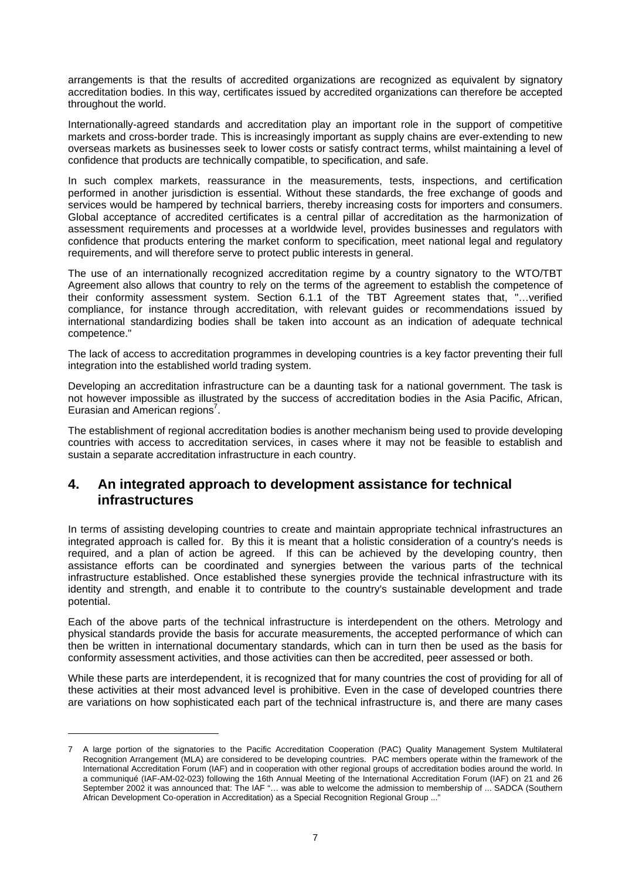arrangements is that the results of accredited organizations are recognized as equivalent by signatory accreditation bodies. In this way, certificates issued by accredited organizations can therefore be accepted throughout the world.

Internationally-agreed standards and accreditation play an important role in the support of competitive markets and cross-border trade. This is increasingly important as supply chains are ever-extending to new overseas markets as businesses seek to lower costs or satisfy contract terms, whilst maintaining a level of confidence that products are technically compatible, to specification, and safe.

In such complex markets, reassurance in the measurements, tests, inspections, and certification performed in another jurisdiction is essential. Without these standards, the free exchange of goods and services would be hampered by technical barriers, thereby increasing costs for importers and consumers. Global acceptance of accredited certificates is a central pillar of accreditation as the harmonization of assessment requirements and processes at a worldwide level, provides businesses and regulators with confidence that products entering the market conform to specification, meet national legal and regulatory requirements, and will therefore serve to protect public interests in general.

The use of an internationally recognized accreditation regime by a country signatory to the WTO/TBT Agreement also allows that country to rely on the terms of the agreement to establish the competence of their conformity assessment system. Section 6.1.1 of the TBT Agreement states that, "…verified compliance, for instance through accreditation, with relevant guides or recommendations issued by international standardizing bodies shall be taken into account as an indication of adequate technical competence."

The lack of access to accreditation programmes in developing countries is a key factor preventing their full integration into the established world trading system.

Developing an accreditation infrastructure can be a daunting task for a national government. The task is not however impossible as illustrated by the success of accreditation bodies in the Asia Pacific, African, Eurasian and American regions<sup>7</sup>.

The establishment of regional accreditation bodies is another mechanism being used to provide developing countries with access to accreditation services, in cases where it may not be feasible to establish and sustain a separate accreditation infrastructure in each country.

#### **4. An integrated approach to development assistance for technical infrastructures**

In terms of assisting developing countries to create and maintain appropriate technical infrastructures an integrated approach is called for. By this it is meant that a holistic consideration of a country's needs is required, and a plan of action be agreed. If this can be achieved by the developing country, then assistance efforts can be coordinated and synergies between the various parts of the technical infrastructure established. Once established these synergies provide the technical infrastructure with its identity and strength, and enable it to contribute to the country's sustainable development and trade potential.

Each of the above parts of the technical infrastructure is interdependent on the others. Metrology and physical standards provide the basis for accurate measurements, the accepted performance of which can then be written in international documentary standards, which can in turn then be used as the basis for conformity assessment activities, and those activities can then be accredited, peer assessed or both.

While these parts are interdependent, it is recognized that for many countries the cost of providing for all of these activities at their most advanced level is prohibitive. Even in the case of developed countries there are variations on how sophisticated each part of the technical infrastructure is, and there are many cases

1

<sup>7</sup> A large portion of the signatories to the Pacific Accreditation Cooperation (PAC) Quality Management System Multilateral Recognition Arrangement (MLA) are considered to be developing countries. PAC members operate within the framework of the International Accreditation Forum (IAF) and in cooperation with other regional groups of accreditation bodies around the world. In a communiqué (IAF-AM-02-023) following the 16th Annual Meeting of the International Accreditation Forum (IAF) on 21 and 26 September 2002 it was announced that: The IAF "… was able to welcome the admission to membership of ... SADCA (Southern African Development Co-operation in Accreditation) as a Special Recognition Regional Group ..."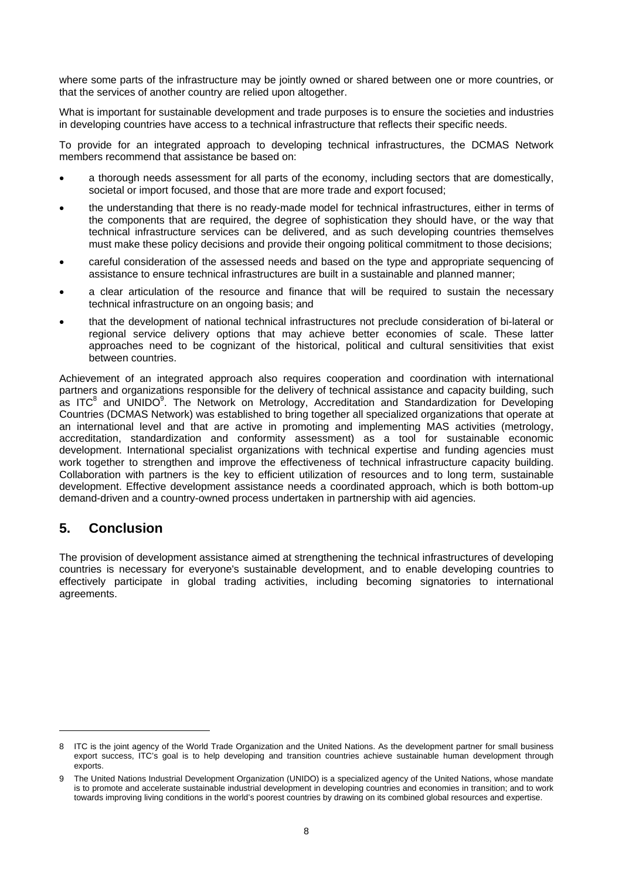where some parts of the infrastructure may be jointly owned or shared between one or more countries, or that the services of another country are relied upon altogether.

What is important for sustainable development and trade purposes is to ensure the societies and industries in developing countries have access to a technical infrastructure that reflects their specific needs.

To provide for an integrated approach to developing technical infrastructures, the DCMAS Network members recommend that assistance be based on:

- a thorough needs assessment for all parts of the economy, including sectors that are domestically, societal or import focused, and those that are more trade and export focused;
- the understanding that there is no ready-made model for technical infrastructures, either in terms of the components that are required, the degree of sophistication they should have, or the way that technical infrastructure services can be delivered, and as such developing countries themselves must make these policy decisions and provide their ongoing political commitment to those decisions;
- careful consideration of the assessed needs and based on the type and appropriate sequencing of assistance to ensure technical infrastructures are built in a sustainable and planned manner;
- a clear articulation of the resource and finance that will be required to sustain the necessary technical infrastructure on an ongoing basis; and
- that the development of national technical infrastructures not preclude consideration of bi-lateral or regional service delivery options that may achieve better economies of scale. These latter approaches need to be cognizant of the historical, political and cultural sensitivities that exist between countries.

Achievement of an integrated approach also requires cooperation and coordination with international partners and organizations responsible for the delivery of technical assistance and capacity building, such as ITC<sup>8</sup> and UNIDO<sup>9</sup>. The Network on Metrology, Accreditation and Standardization for Developing Countries (DCMAS Network) was established to bring together all specialized organizations that operate at an international level and that are active in promoting and implementing MAS activities (metrology, accreditation, standardization and conformity assessment) as a tool for sustainable economic development. International specialist organizations with technical expertise and funding agencies must work together to strengthen and improve the effectiveness of technical infrastructure capacity building. Collaboration with partners is the key to efficient utilization of resources and to long term, sustainable development. Effective development assistance needs a coordinated approach, which is both bottom-up demand-driven and a country-owned process undertaken in partnership with aid agencies.

#### **5. Conclusion**

l

The provision of development assistance aimed at strengthening the technical infrastructures of developing countries is necessary for everyone's sustainable development, and to enable developing countries to effectively participate in global trading activities, including becoming signatories to international agreements.

<sup>8</sup> ITC is the joint agency of the World Trade Organization and the United Nations. As the development partner for small business export success, ITC's goal is to help developing and transition countries achieve sustainable human development through exports.

<sup>9</sup> The United Nations Industrial Development Organization (UNIDO) is a specialized agency of the United Nations, whose mandate is to promote and accelerate sustainable industrial development in developing countries and economies in transition; and to work towards improving living conditions in the world's poorest countries by drawing on its combined global resources and expertise.